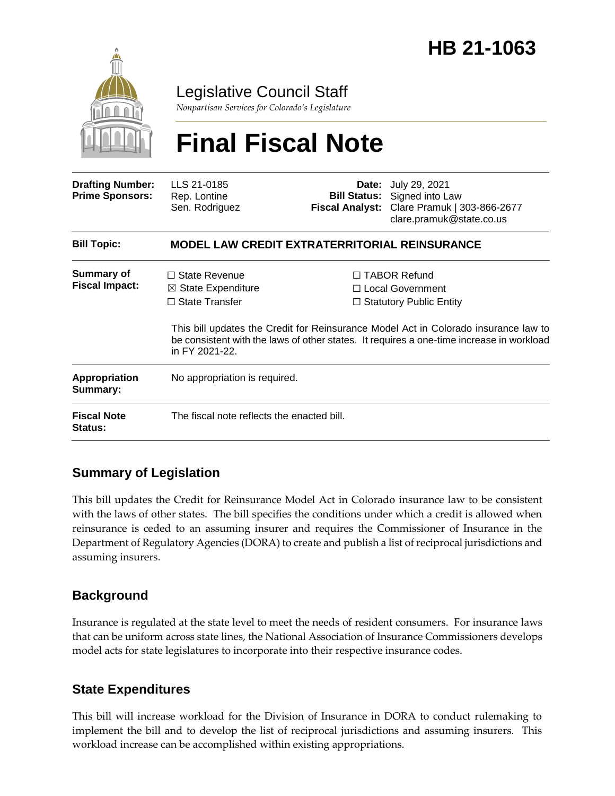

Legislative Council Staff

*Nonpartisan Services for Colorado's Legislature*

# **Final Fiscal Note**

| <b>Drafting Number:</b><br><b>Prime Sponsors:</b> | LLS 21-0185<br>Rep. Lontine<br>Sen. Rodriguez                                                    |  | <b>Date:</b> July 29, 2021<br><b>Bill Status:</b> Signed into Law<br>Fiscal Analyst: Clare Pramuk   303-866-2677<br>clare.pramuk@state.co.us                                                                                                                   |  |
|---------------------------------------------------|--------------------------------------------------------------------------------------------------|--|----------------------------------------------------------------------------------------------------------------------------------------------------------------------------------------------------------------------------------------------------------------|--|
| <b>Bill Topic:</b>                                | <b>MODEL LAW CREDIT EXTRATERRITORIAL REINSURANCE</b>                                             |  |                                                                                                                                                                                                                                                                |  |
| <b>Summary of</b><br><b>Fiscal Impact:</b>        | $\Box$ State Revenue<br>$\boxtimes$ State Expenditure<br>$\Box$ State Transfer<br>in FY 2021-22. |  | $\Box$ TABOR Refund<br>□ Local Government<br>$\Box$ Statutory Public Entity<br>This bill updates the Credit for Reinsurance Model Act in Colorado insurance law to<br>be consistent with the laws of other states. It requires a one-time increase in workload |  |
| <b>Appropriation</b><br>Summary:                  | No appropriation is required.                                                                    |  |                                                                                                                                                                                                                                                                |  |
| <b>Fiscal Note</b><br><b>Status:</b>              | The fiscal note reflects the enacted bill.                                                       |  |                                                                                                                                                                                                                                                                |  |

# **Summary of Legislation**

This bill updates the Credit for Reinsurance Model Act in Colorado insurance law to be consistent with the laws of other states. The bill specifies the conditions under which a credit is allowed when reinsurance is ceded to an assuming insurer and requires the Commissioner of Insurance in the Department of Regulatory Agencies (DORA) to create and publish a list of reciprocal jurisdictions and assuming insurers.

## **Background**

Insurance is regulated at the state level to meet the needs of resident consumers. For insurance laws that can be uniform across state lines, the National Association of Insurance Commissioners develops model acts for state legislatures to incorporate into their respective insurance codes.

## **State Expenditures**

This bill will increase workload for the Division of Insurance in DORA to conduct rulemaking to implement the bill and to develop the list of reciprocal jurisdictions and assuming insurers. This workload increase can be accomplished within existing appropriations.